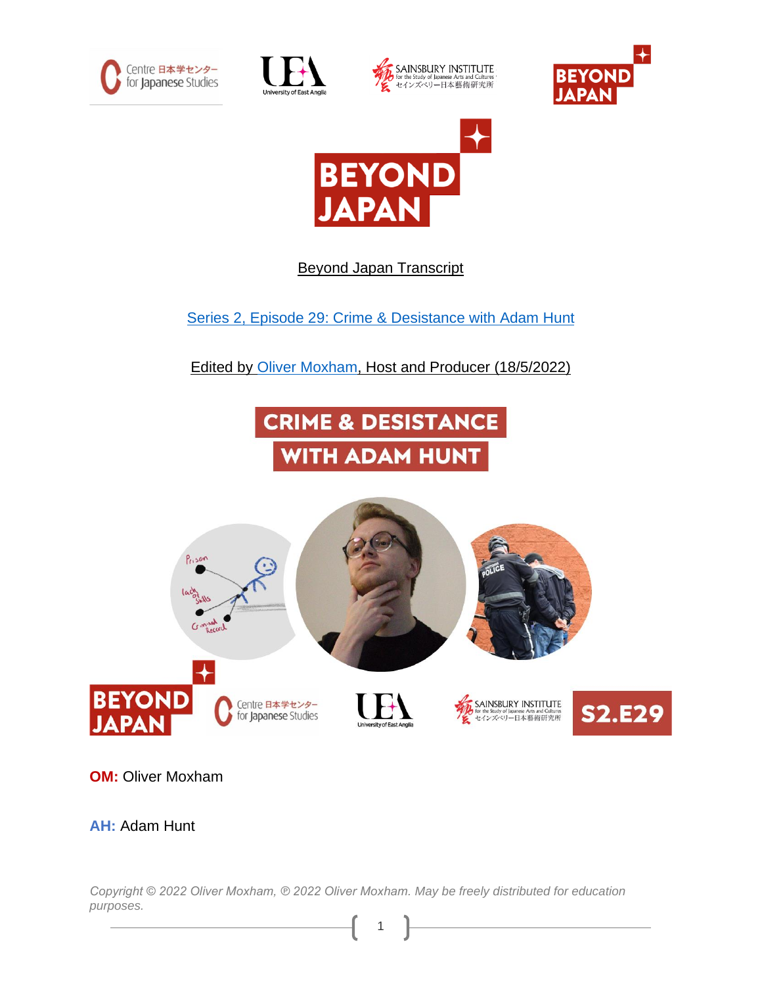









Beyond Japan Transcript

Series 2, Episode 29: [Crime & Desistance with](https://japaninnorwich.org/2022/06/23/s2e29-crime-and-desistance/) Adam Hunt

Edited by [Oliver Moxham,](https://olivermoxham.wordpress.com/) Host and Producer (18/5/2022)





**OM:** Oliver Moxham

**AH:** Adam Hunt

*Copyright © 2022 Oliver Moxham, ℗ 2022 Oliver Moxham. May be freely distributed for education purposes.*

1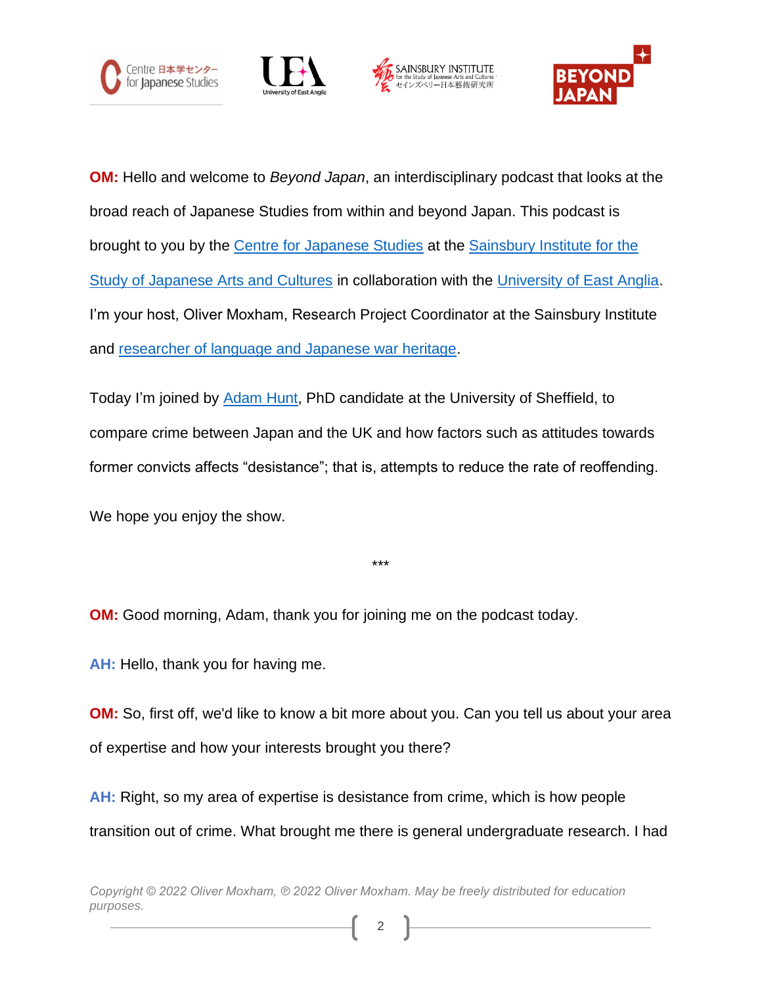







**OM:** Hello and welcome to *Beyond Japan*, an interdisciplinary podcast that looks at the broad reach of Japanese Studies from within and beyond Japan. This podcast is brought to you by the [Centre for Japanese Studies](https://japaninnorwich.org/cjs) at the [Sainsbury Institute for the](https://www.sainsbury-institute.org/)  [Study of Japanese Arts and Cultures](https://www.sainsbury-institute.org/) in collaboration with the [University of East Anglia.](https://www.uea.ac.uk/) I'm your host, Oliver Moxham, Research Project Coordinator at the Sainsbury Institute and [researcher of language and Japanese war heritage.](https://olivermoxham.wordpress.com/tag/phd/)

Today I'm joined by [Adam Hunt,](https://www.sheffield.ac.uk/law/postgraduate/phd/research-students/adam-j-hunt) PhD candidate at the University of Sheffield, to compare crime between Japan and the UK and how factors such as attitudes towards former convicts affects "desistance"; that is, attempts to reduce the rate of reoffending.

We hope you enjoy the show.

\*\*\*

**OM:** Good morning, Adam, thank you for joining me on the podcast today.

**AH:** Hello, thank you for having me.

**OM:** So, first off, we'd like to know a bit more about you. Can you tell us about your area of expertise and how your interests brought you there?

**AH:** Right, so my area of expertise is desistance from crime, which is how people transition out of crime. What brought me there is general undergraduate research. I had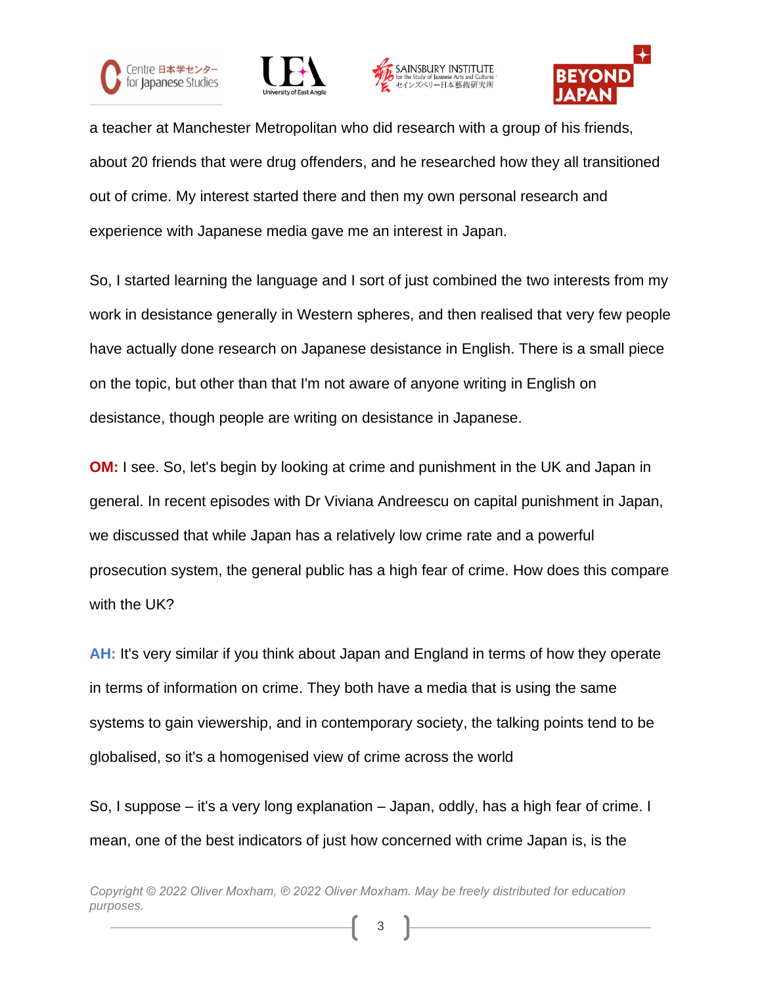







a teacher at Manchester Metropolitan who did research with a group of his friends, about 20 friends that were drug offenders, and he researched how they all transitioned out of crime. My interest started there and then my own personal research and experience with Japanese media gave me an interest in Japan.

So, I started learning the language and I sort of just combined the two interests from my work in desistance generally in Western spheres, and then realised that very few people have actually done research on Japanese desistance in English. There is a small piece on the topic, but other than that I'm not aware of anyone writing in English on desistance, though people are writing on desistance in Japanese.

**OM:** I see. So, let's begin by looking at crime and punishment in the UK and Japan in general. In recent episodes with Dr Viviana Andreescu on capital punishment in Japan, we discussed that while Japan has a relatively low crime rate and a powerful prosecution system, the general public has a high fear of crime. How does this compare with the UK?

**AH:** It's very similar if you think about Japan and England in terms of how they operate in terms of information on crime. They both have a media that is using the same systems to gain viewership, and in contemporary society, the talking points tend to be globalised, so it's a homogenised view of crime across the world

So, I suppose – it's a very long explanation – Japan, oddly, has a high fear of crime. I mean, one of the best indicators of just how concerned with crime Japan is, is the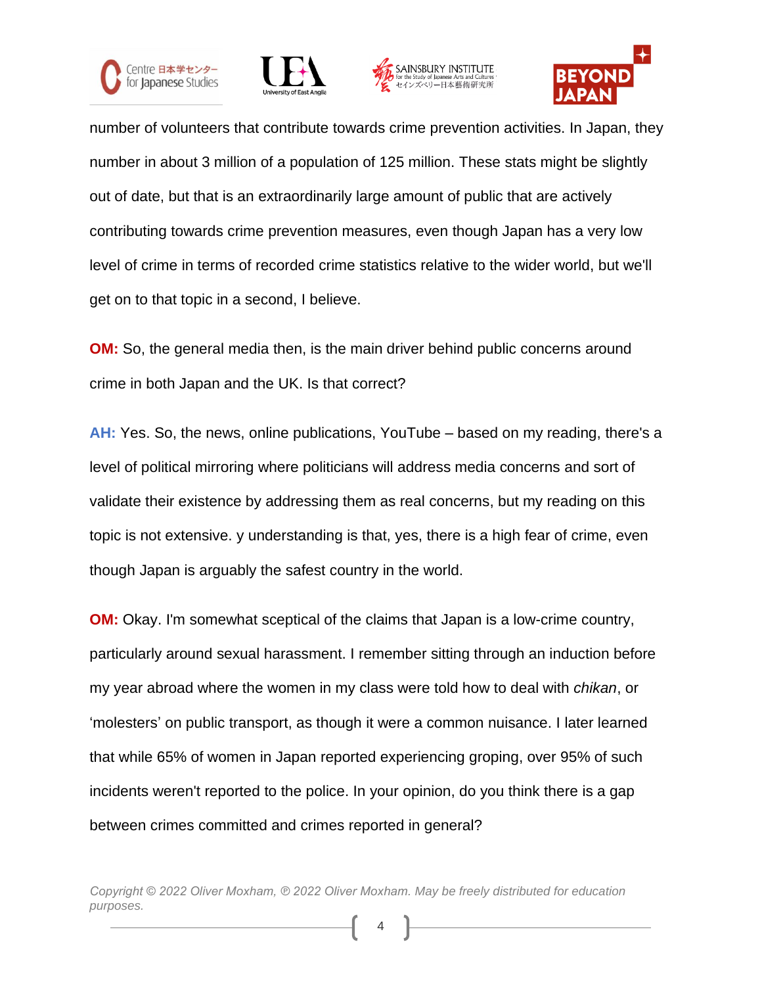







number of volunteers that contribute towards crime prevention activities. In Japan, they number in about 3 million of a population of 125 million. These stats might be slightly out of date, but that is an extraordinarily large amount of public that are actively contributing towards crime prevention measures, even though Japan has a very low level of crime in terms of recorded crime statistics relative to the wider world, but we'll get on to that topic in a second, I believe.

**OM:** So, the general media then, is the main driver behind public concerns around crime in both Japan and the UK. Is that correct?

**AH:** Yes. So, the news, online publications, YouTube – based on my reading, there's a level of political mirroring where politicians will address media concerns and sort of validate their existence by addressing them as real concerns, but my reading on this topic is not extensive. y understanding is that, yes, there is a high fear of crime, even though Japan is arguably the safest country in the world.

**OM:** Okay. I'm somewhat sceptical of the claims that Japan is a low-crime country, particularly around sexual harassment. I remember sitting through an induction before my year abroad where the women in my class were told how to deal with *chikan*, or 'molesters' on public transport, as though it were a common nuisance. I later learned that while 65% of women in Japan reported experiencing groping, over 95% of such incidents weren't reported to the police. In your opinion, do you think there is a gap between crimes committed and crimes reported in general?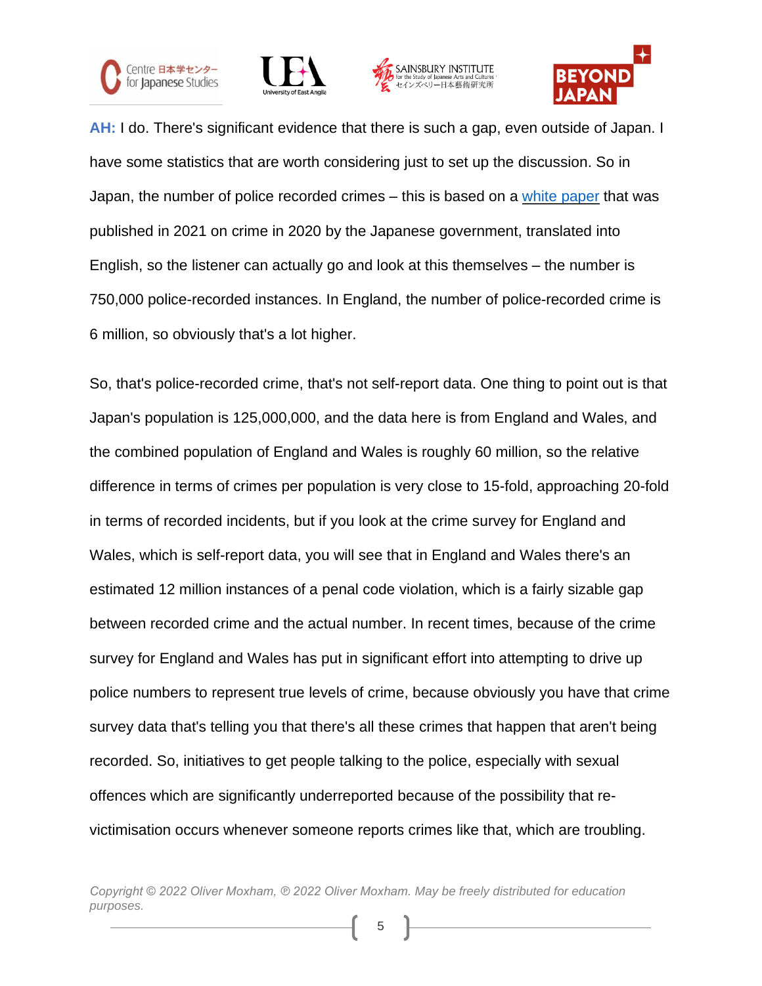







**AH:** I do. There's significant evidence that there is such a gap, even outside of Japan. I have some statistics that are worth considering just to set up the discussion. So in Japan, the number of police recorded crimes – this is based on a white [paper](https://www.moj.go.jp/EN/housouken/houso_hakusho2.html) that was published in 2021 on crime in 2020 by the Japanese government, translated into English, so the listener can actually go and look at this themselves – the number is 750,000 police-recorded instances. In England, the number of police-recorded crime is 6 million, so obviously that's a lot higher.

So, that's police-recorded crime, that's not self-report data. One thing to point out is that Japan's population is 125,000,000, and the data here is from England and Wales, and the combined population of England and Wales is roughly 60 million, so the relative difference in terms of crimes per population is very close to 15-fold, approaching 20-fold in terms of recorded incidents, but if you look at the crime survey for England and Wales, which is self-report data, you will see that in England and Wales there's an estimated 12 million instances of a penal code violation, which is a fairly sizable gap between recorded crime and the actual number. In recent times, because of the crime survey for England and Wales has put in significant effort into attempting to drive up police numbers to represent true levels of crime, because obviously you have that crime survey data that's telling you that there's all these crimes that happen that aren't being recorded. So, initiatives to get people talking to the police, especially with sexual offences which are significantly underreported because of the possibility that revictimisation occurs whenever someone reports crimes like that, which are troubling.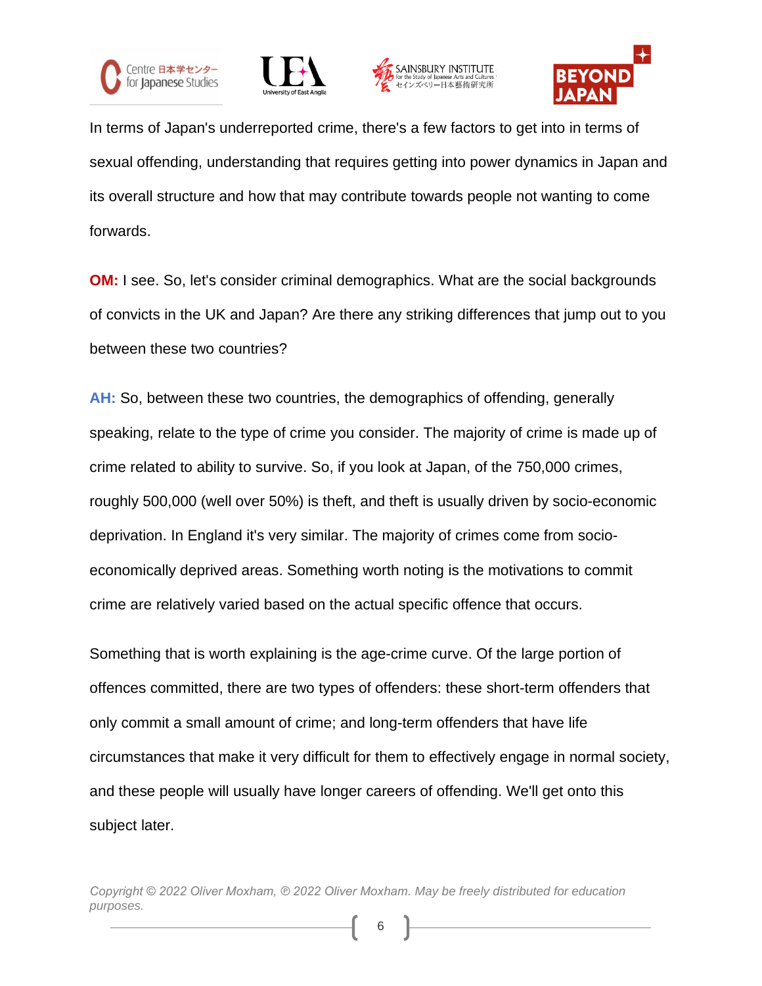







In terms of Japan's underreported crime, there's a few factors to get into in terms of sexual offending, understanding that requires getting into power dynamics in Japan and its overall structure and how that may contribute towards people not wanting to come forwards.

**OM:** I see. So, let's consider criminal demographics. What are the social backgrounds of convicts in the UK and Japan? Are there any striking differences that jump out to you between these two countries?

**AH:** So, between these two countries, the demographics of offending, generally speaking, relate to the type of crime you consider. The majority of crime is made up of crime related to ability to survive. So, if you look at Japan, of the 750,000 crimes, roughly 500,000 (well over 50%) is theft, and theft is usually driven by socio-economic deprivation. In England it's very similar. The majority of crimes come from socioeconomically deprived areas. Something worth noting is the motivations to commit crime are relatively varied based on the actual specific offence that occurs.

Something that is worth explaining is the age-crime curve. Of the large portion of offences committed, there are two types of offenders: these short-term offenders that only commit a small amount of crime; and long-term offenders that have life circumstances that make it very difficult for them to effectively engage in normal society, and these people will usually have longer careers of offending. We'll get onto this subject later.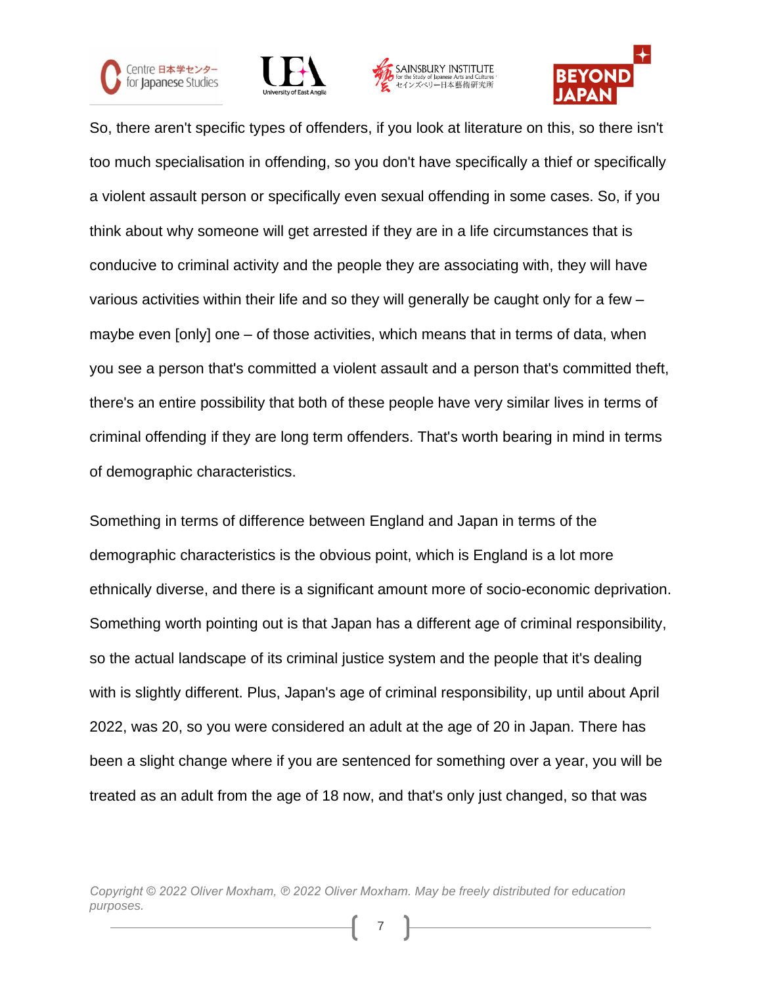







So, there aren't specific types of offenders, if you look at literature on this, so there isn't too much specialisation in offending, so you don't have specifically a thief or specifically a violent assault person or specifically even sexual offending in some cases. So, if you think about why someone will get arrested if they are in a life circumstances that is conducive to criminal activity and the people they are associating with, they will have various activities within their life and so they will generally be caught only for a few – maybe even [only] one – of those activities, which means that in terms of data, when you see a person that's committed a violent assault and a person that's committed theft, there's an entire possibility that both of these people have very similar lives in terms of criminal offending if they are long term offenders. That's worth bearing in mind in terms of demographic characteristics.

Something in terms of difference between England and Japan in terms of the demographic characteristics is the obvious point, which is England is a lot more ethnically diverse, and there is a significant amount more of socio-economic deprivation. Something worth pointing out is that Japan has a different age of criminal responsibility, so the actual landscape of its criminal justice system and the people that it's dealing with is slightly different. Plus, Japan's age of criminal responsibility, up until about April 2022, was 20, so you were considered an adult at the age of 20 in Japan. There has been a slight change where if you are sentenced for something over a year, you will be treated as an adult from the age of 18 now, and that's only just changed, so that was

*Copyright © 2022 Oliver Moxham, ℗ 2022 Oliver Moxham. May be freely distributed for education purposes.*

7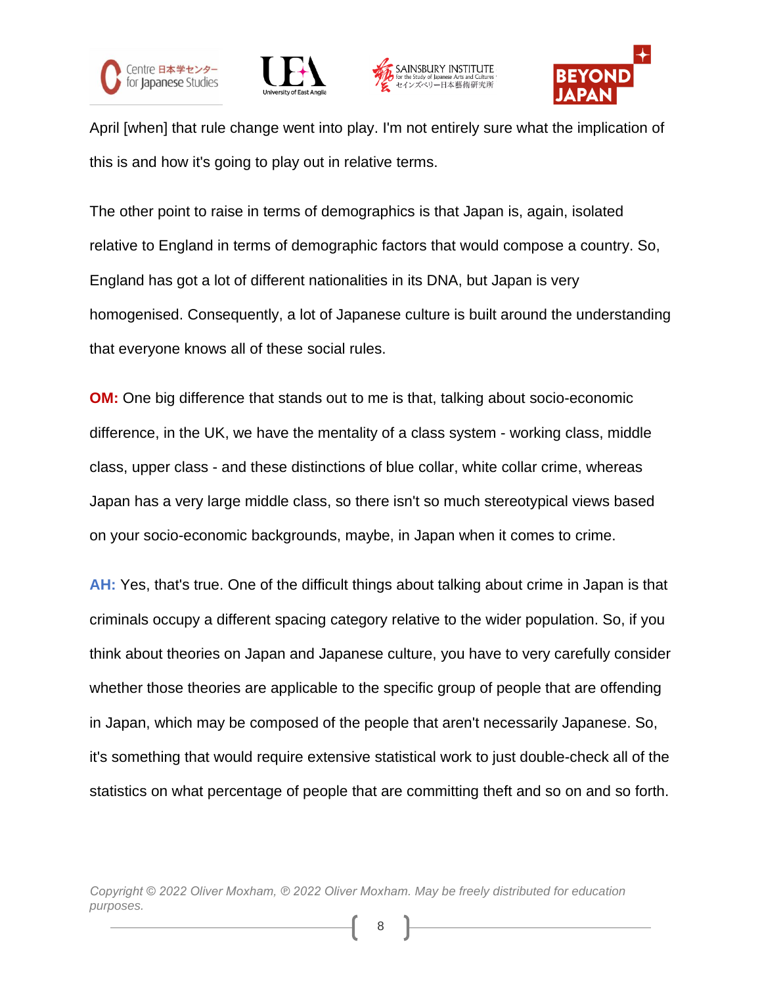







April [when] that rule change went into play. I'm not entirely sure what the implication of this is and how it's going to play out in relative terms.

The other point to raise in terms of demographics is that Japan is, again, isolated relative to England in terms of demographic factors that would compose a country. So, England has got a lot of different nationalities in its DNA, but Japan is very homogenised. Consequently, a lot of Japanese culture is built around the understanding that everyone knows all of these social rules.

**OM:** One big difference that stands out to me is that, talking about socio-economic difference, in the UK, we have the mentality of a class system - working class, middle class, upper class - and these distinctions of blue collar, white collar crime, whereas Japan has a very large middle class, so there isn't so much stereotypical views based on your socio-economic backgrounds, maybe, in Japan when it comes to crime.

**AH:** Yes, that's true. One of the difficult things about talking about crime in Japan is that criminals occupy a different spacing category relative to the wider population. So, if you think about theories on Japan and Japanese culture, you have to very carefully consider whether those theories are applicable to the specific group of people that are offending in Japan, which may be composed of the people that aren't necessarily Japanese. So, it's something that would require extensive statistical work to just double-check all of the statistics on what percentage of people that are committing theft and so on and so forth.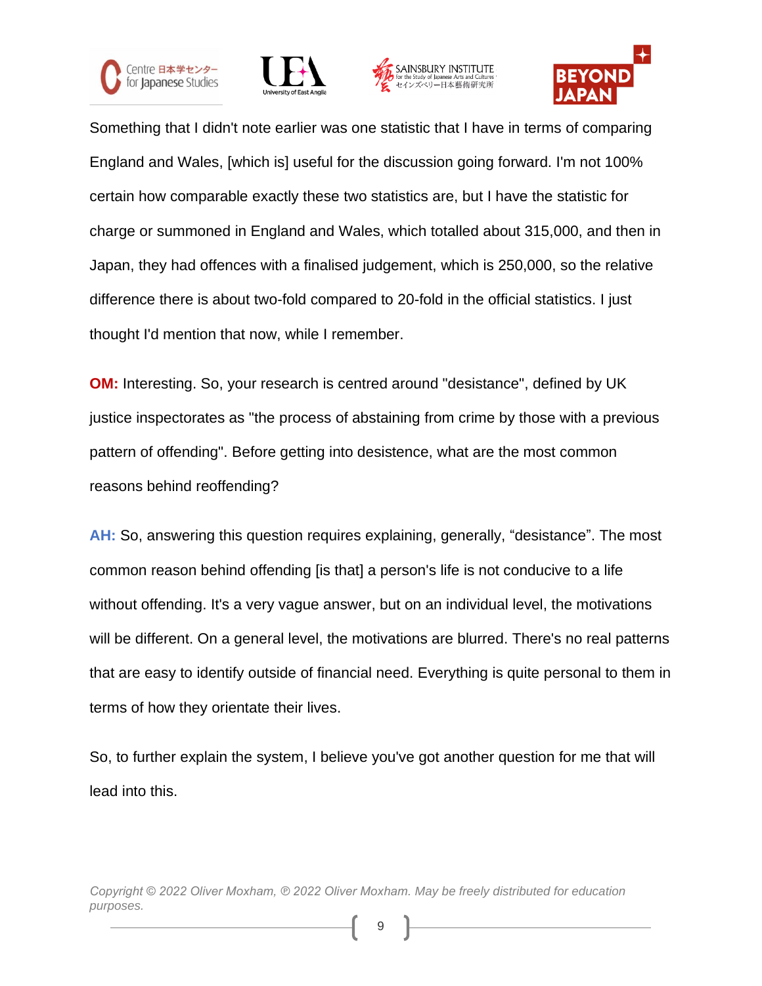







Something that I didn't note earlier was one statistic that I have in terms of comparing England and Wales, [which is] useful for the discussion going forward. I'm not 100% certain how comparable exactly these two statistics are, but I have the statistic for charge or summoned in England and Wales, which totalled about 315,000, and then in Japan, they had offences with a finalised judgement, which is 250,000, so the relative difference there is about two-fold compared to 20-fold in the official statistics. I just thought I'd mention that now, while I remember.

**OM:** Interesting. So, your research is centred around "desistance", defined by UK justice inspectorates as "the process of abstaining from crime by those with a previous pattern of offending". Before getting into desistence, what are the most common reasons behind reoffending?

**AH:** So, answering this question requires explaining, generally, "desistance". The most common reason behind offending [is that] a person's life is not conducive to a life without offending. It's a very vague answer, but on an individual level, the motivations will be different. On a general level, the motivations are blurred. There's no real patterns that are easy to identify outside of financial need. Everything is quite personal to them in terms of how they orientate their lives.

So, to further explain the system, I believe you've got another question for me that will lead into this.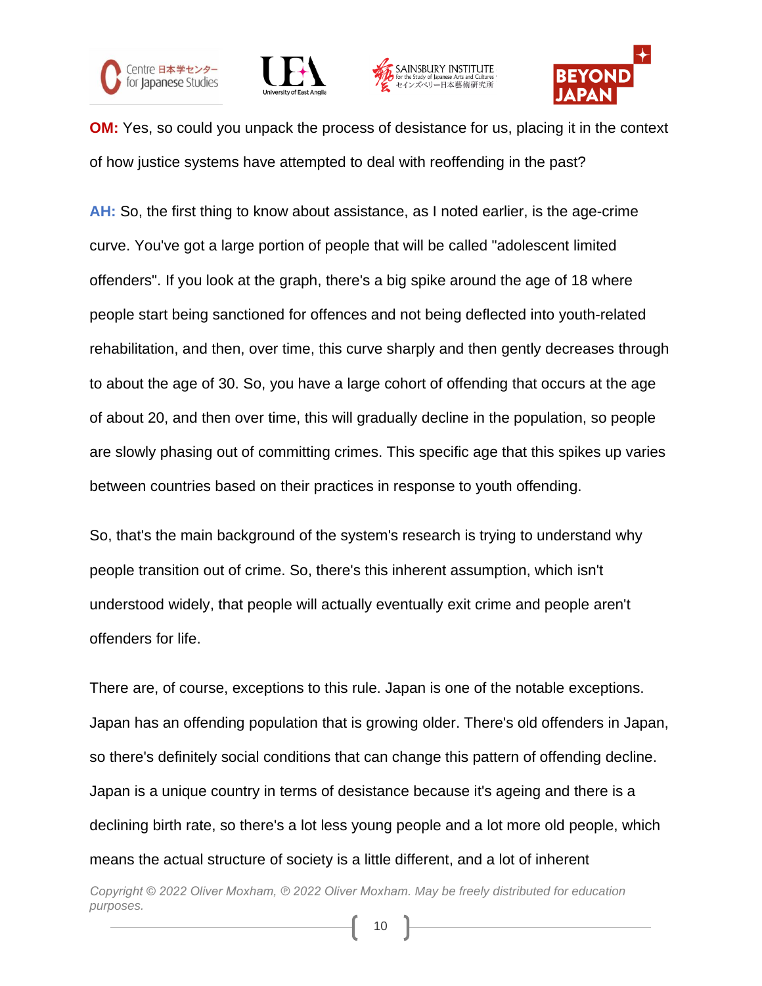







**OM:** Yes, so could you unpack the process of desistance for us, placing it in the context of how justice systems have attempted to deal with reoffending in the past?

**AH:** So, the first thing to know about assistance, as I noted earlier, is the age-crime curve. You've got a large portion of people that will be called "adolescent limited offenders". If you look at the graph, there's a big spike around the age of 18 where people start being sanctioned for offences and not being deflected into youth-related rehabilitation, and then, over time, this curve sharply and then gently decreases through to about the age of 30. So, you have a large cohort of offending that occurs at the age of about 20, and then over time, this will gradually decline in the population, so people are slowly phasing out of committing crimes. This specific age that this spikes up varies between countries based on their practices in response to youth offending.

So, that's the main background of the system's research is trying to understand why people transition out of crime. So, there's this inherent assumption, which isn't understood widely, that people will actually eventually exit crime and people aren't offenders for life.

There are, of course, exceptions to this rule. Japan is one of the notable exceptions. Japan has an offending population that is growing older. There's old offenders in Japan, so there's definitely social conditions that can change this pattern of offending decline. Japan is a unique country in terms of desistance because it's ageing and there is a declining birth rate, so there's a lot less young people and a lot more old people, which means the actual structure of society is a little different, and a lot of inherent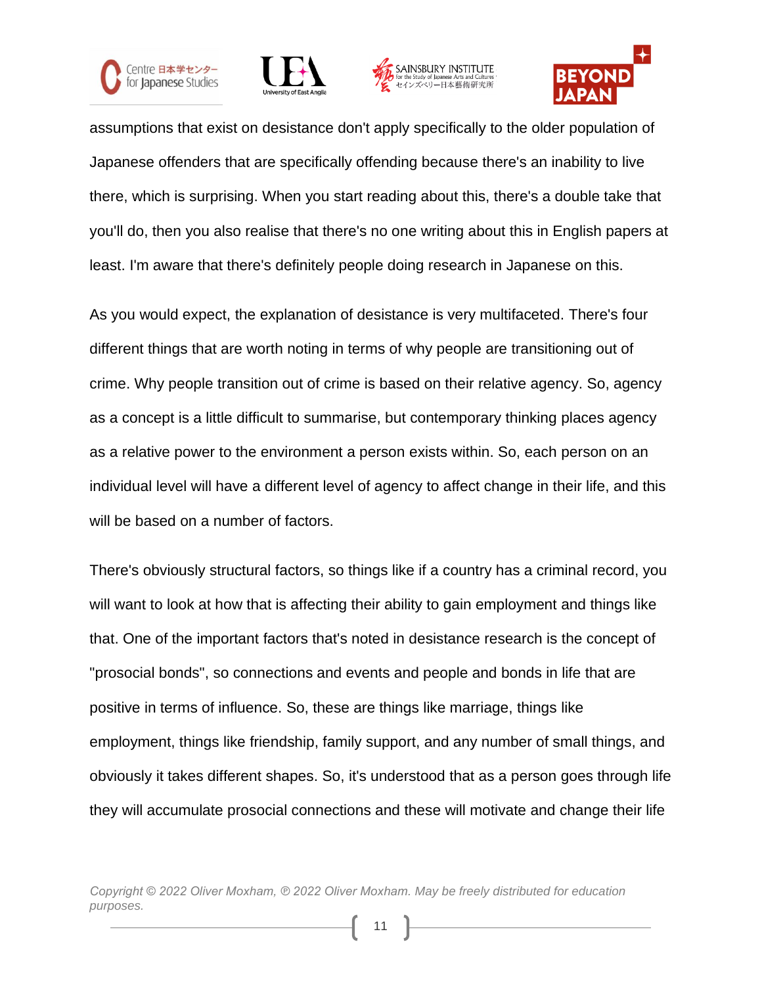







assumptions that exist on desistance don't apply specifically to the older population of Japanese offenders that are specifically offending because there's an inability to live there, which is surprising. When you start reading about this, there's a double take that you'll do, then you also realise that there's no one writing about this in English papers at least. I'm aware that there's definitely people doing research in Japanese on this.

As you would expect, the explanation of desistance is very multifaceted. There's four different things that are worth noting in terms of why people are transitioning out of crime. Why people transition out of crime is based on their relative agency. So, agency as a concept is a little difficult to summarise, but contemporary thinking places agency as a relative power to the environment a person exists within. So, each person on an individual level will have a different level of agency to affect change in their life, and this will be based on a number of factors.

There's obviously structural factors, so things like if a country has a criminal record, you will want to look at how that is affecting their ability to gain employment and things like that. One of the important factors that's noted in desistance research is the concept of "prosocial bonds", so connections and events and people and bonds in life that are positive in terms of influence. So, these are things like marriage, things like employment, things like friendship, family support, and any number of small things, and obviously it takes different shapes. So, it's understood that as a person goes through life they will accumulate prosocial connections and these will motivate and change their life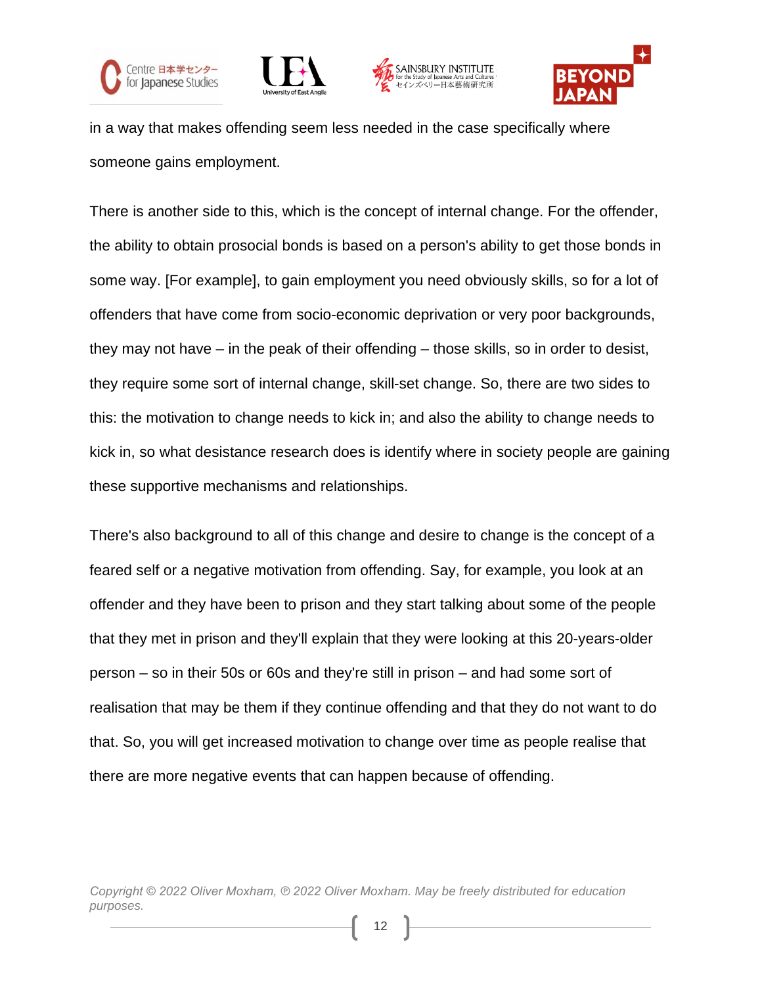







in a way that makes offending seem less needed in the case specifically where someone gains employment.

There is another side to this, which is the concept of internal change. For the offender, the ability to obtain prosocial bonds is based on a person's ability to get those bonds in some way. [For example], to gain employment you need obviously skills, so for a lot of offenders that have come from socio-economic deprivation or very poor backgrounds, they may not have – in the peak of their offending – those skills, so in order to desist, they require some sort of internal change, skill-set change. So, there are two sides to this: the motivation to change needs to kick in; and also the ability to change needs to kick in, so what desistance research does is identify where in society people are gaining these supportive mechanisms and relationships.

There's also background to all of this change and desire to change is the concept of a feared self or a negative motivation from offending. Say, for example, you look at an offender and they have been to prison and they start talking about some of the people that they met in prison and they'll explain that they were looking at this 20-years-older person – so in their 50s or 60s and they're still in prison – and had some sort of realisation that may be them if they continue offending and that they do not want to do that. So, you will get increased motivation to change over time as people realise that there are more negative events that can happen because of offending.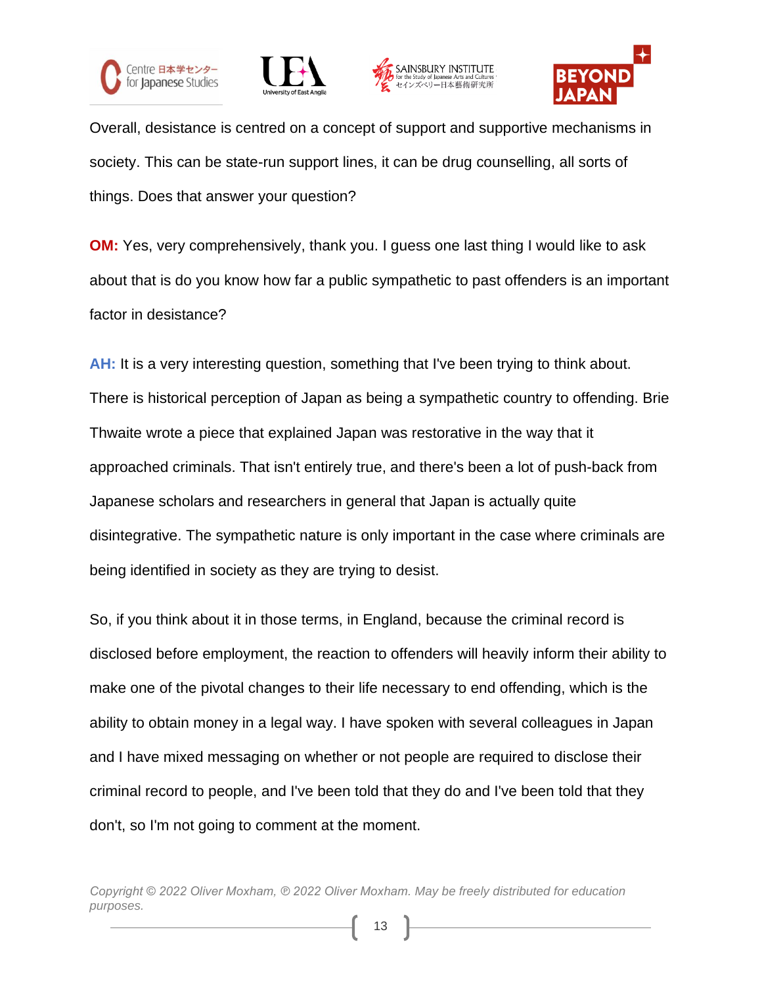







Overall, desistance is centred on a concept of support and supportive mechanisms in society. This can be state-run support lines, it can be drug counselling, all sorts of things. Does that answer your question?

**OM:** Yes, very comprehensively, thank you. I guess one last thing I would like to ask about that is do you know how far a public sympathetic to past offenders is an important factor in desistance?

**AH:** It is a very interesting question, something that I've been trying to think about. There is historical perception of Japan as being a sympathetic country to offending. Brie Thwaite wrote a piece that explained Japan was restorative in the way that it approached criminals. That isn't entirely true, and there's been a lot of push-back from Japanese scholars and researchers in general that Japan is actually quite disintegrative. The sympathetic nature is only important in the case where criminals are being identified in society as they are trying to desist.

So, if you think about it in those terms, in England, because the criminal record is disclosed before employment, the reaction to offenders will heavily inform their ability to make one of the pivotal changes to their life necessary to end offending, which is the ability to obtain money in a legal way. I have spoken with several colleagues in Japan and I have mixed messaging on whether or not people are required to disclose their criminal record to people, and I've been told that they do and I've been told that they don't, so I'm not going to comment at the moment.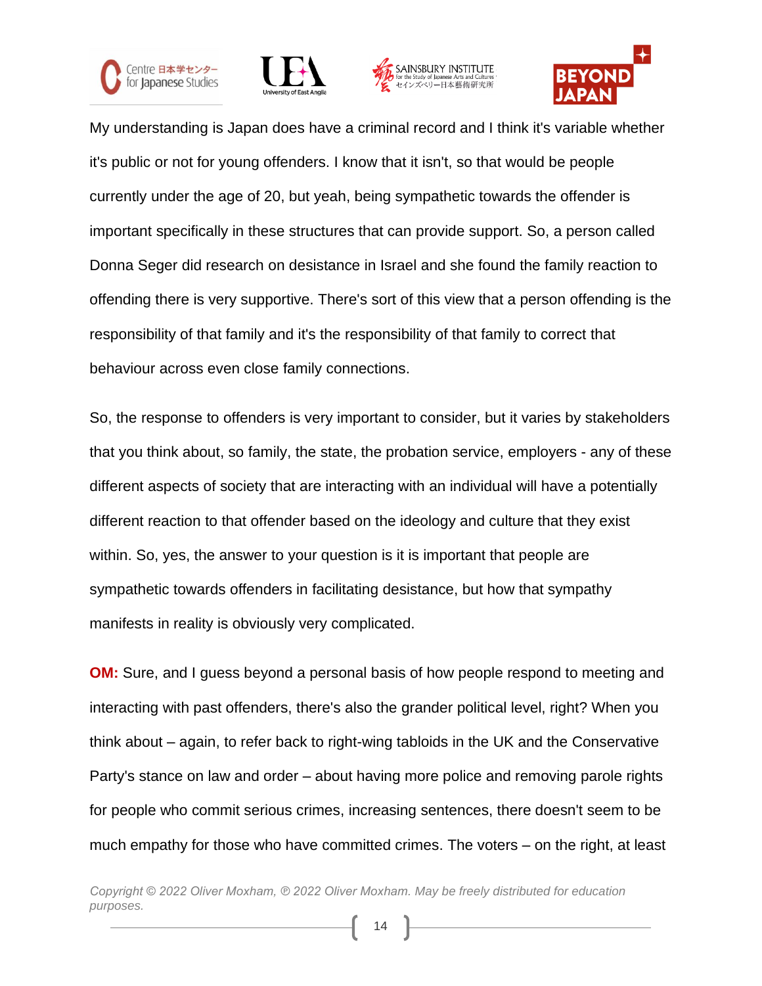







My understanding is Japan does have a criminal record and I think it's variable whether it's public or not for young offenders. I know that it isn't, so that would be people currently under the age of 20, but yeah, being sympathetic towards the offender is important specifically in these structures that can provide support. So, a person called Donna Seger did research on desistance in Israel and she found the family reaction to offending there is very supportive. There's sort of this view that a person offending is the responsibility of that family and it's the responsibility of that family to correct that behaviour across even close family connections.

So, the response to offenders is very important to consider, but it varies by stakeholders that you think about, so family, the state, the probation service, employers - any of these different aspects of society that are interacting with an individual will have a potentially different reaction to that offender based on the ideology and culture that they exist within. So, yes, the answer to your question is it is important that people are sympathetic towards offenders in facilitating desistance, but how that sympathy manifests in reality is obviously very complicated.

**OM:** Sure, and I guess beyond a personal basis of how people respond to meeting and interacting with past offenders, there's also the grander political level, right? When you think about – again, to refer back to right-wing tabloids in the UK and the Conservative Party's stance on law and order – about having more police and removing parole rights for people who commit serious crimes, increasing sentences, there doesn't seem to be much empathy for those who have committed crimes. The voters – on the right, at least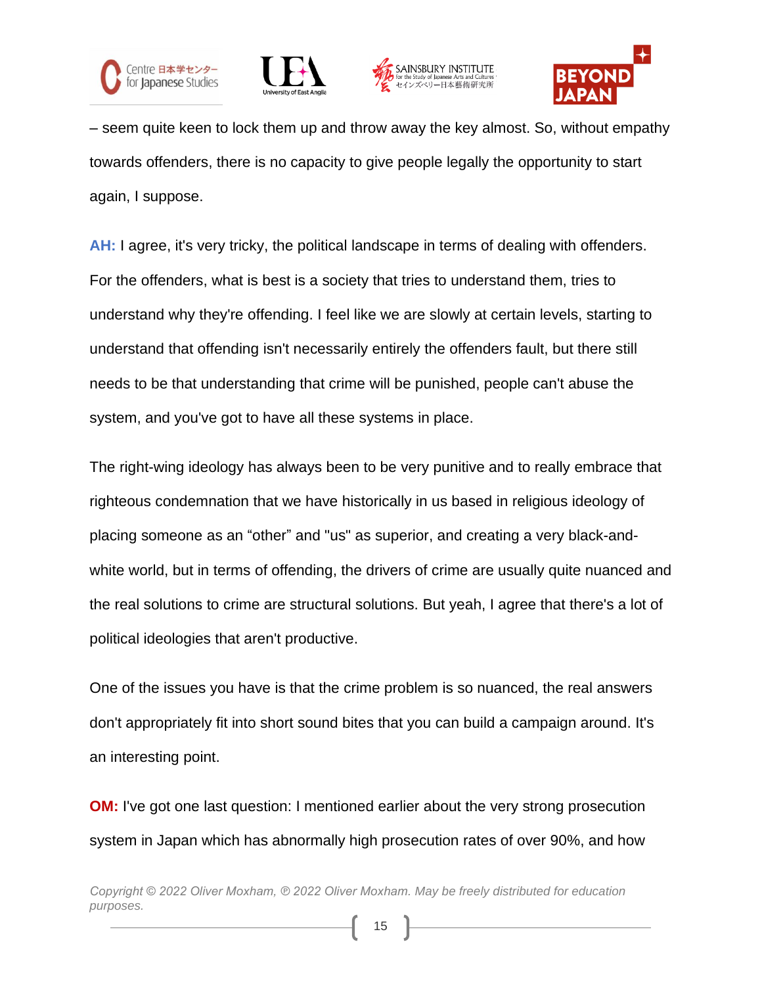







– seem quite keen to lock them up and throw away the key almost. So, without empathy towards offenders, there is no capacity to give people legally the opportunity to start again, I suppose.

**AH:** I agree, it's very tricky, the political landscape in terms of dealing with offenders. For the offenders, what is best is a society that tries to understand them, tries to understand why they're offending. I feel like we are slowly at certain levels, starting to understand that offending isn't necessarily entirely the offenders fault, but there still needs to be that understanding that crime will be punished, people can't abuse the system, and you've got to have all these systems in place.

The right-wing ideology has always been to be very punitive and to really embrace that righteous condemnation that we have historically in us based in religious ideology of placing someone as an "other" and "us" as superior, and creating a very black-andwhite world, but in terms of offending, the drivers of crime are usually quite nuanced and the real solutions to crime are structural solutions. But yeah, I agree that there's a lot of political ideologies that aren't productive.

One of the issues you have is that the crime problem is so nuanced, the real answers don't appropriately fit into short sound bites that you can build a campaign around. It's an interesting point.

**OM:** I've got one last question: I mentioned earlier about the very strong prosecution system in Japan which has abnormally high prosecution rates of over 90%, and how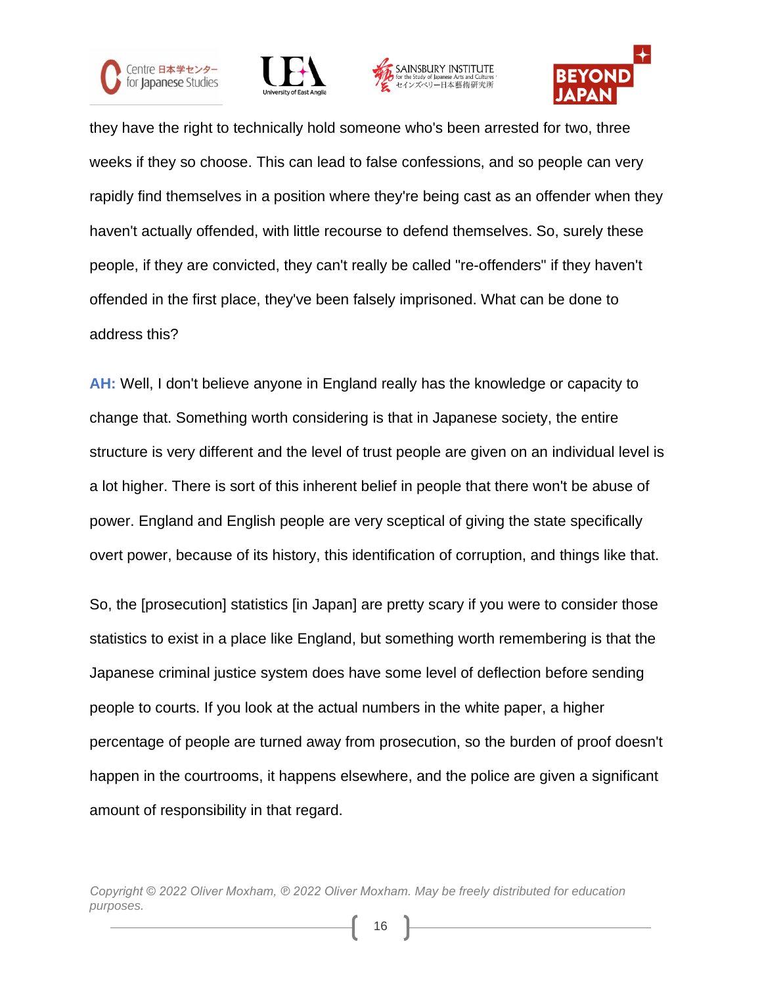







they have the right to technically hold someone who's been arrested for two, three weeks if they so choose. This can lead to false confessions, and so people can very rapidly find themselves in a position where they're being cast as an offender when they haven't actually offended, with little recourse to defend themselves. So, surely these people, if they are convicted, they can't really be called "re-offenders" if they haven't offended in the first place, they've been falsely imprisoned. What can be done to address this?

**AH:** Well, I don't believe anyone in England really has the knowledge or capacity to change that. Something worth considering is that in Japanese society, the entire structure is very different and the level of trust people are given on an individual level is a lot higher. There is sort of this inherent belief in people that there won't be abuse of power. England and English people are very sceptical of giving the state specifically overt power, because of its history, this identification of corruption, and things like that.

So, the [prosecution] statistics [in Japan] are pretty scary if you were to consider those statistics to exist in a place like England, but something worth remembering is that the Japanese criminal justice system does have some level of deflection before sending people to courts. If you look at the actual numbers in the white paper, a higher percentage of people are turned away from prosecution, so the burden of proof doesn't happen in the courtrooms, it happens elsewhere, and the police are given a significant amount of responsibility in that regard.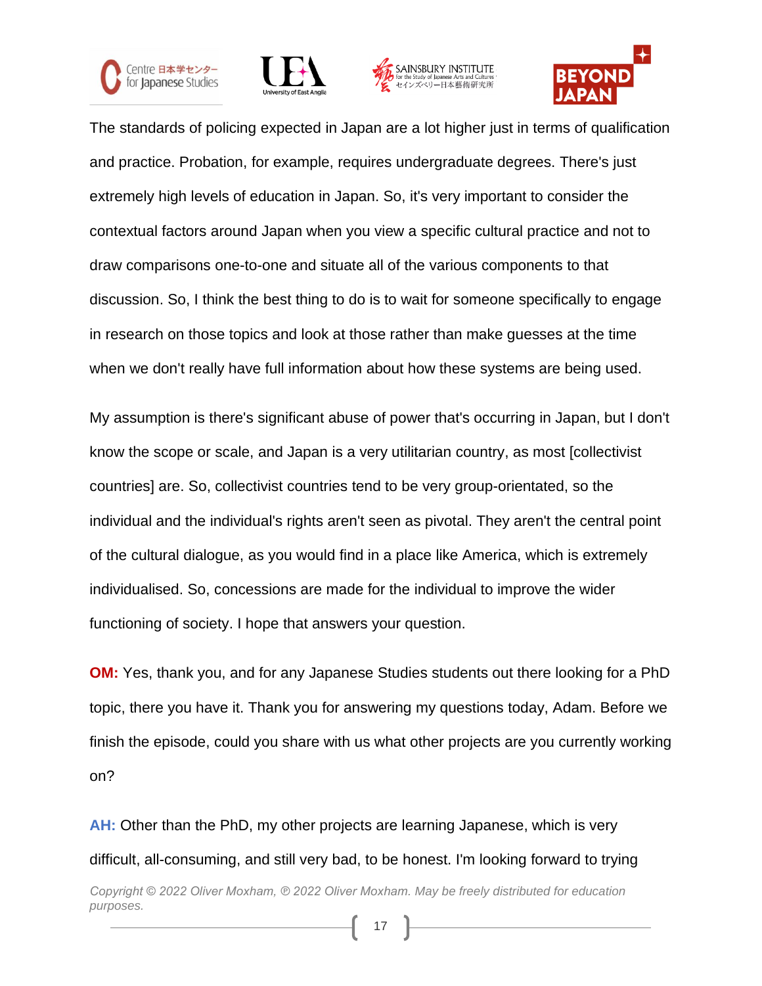







The standards of policing expected in Japan are a lot higher just in terms of qualification and practice. Probation, for example, requires undergraduate degrees. There's just extremely high levels of education in Japan. So, it's very important to consider the contextual factors around Japan when you view a specific cultural practice and not to draw comparisons one-to-one and situate all of the various components to that discussion. So, I think the best thing to do is to wait for someone specifically to engage in research on those topics and look at those rather than make guesses at the time when we don't really have full information about how these systems are being used.

My assumption is there's significant abuse of power that's occurring in Japan, but I don't know the scope or scale, and Japan is a very utilitarian country, as most [collectivist countries] are. So, collectivist countries tend to be very group-orientated, so the individual and the individual's rights aren't seen as pivotal. They aren't the central point of the cultural dialogue, as you would find in a place like America, which is extremely individualised. So, concessions are made for the individual to improve the wider functioning of society. I hope that answers your question.

**OM:** Yes, thank you, and for any Japanese Studies students out there looking for a PhD topic, there you have it. Thank you for answering my questions today, Adam. Before we finish the episode, could you share with us what other projects are you currently working on?

**AH:** Other than the PhD, my other projects are learning Japanese, which is very difficult, all-consuming, and still very bad, to be honest. I'm looking forward to trying